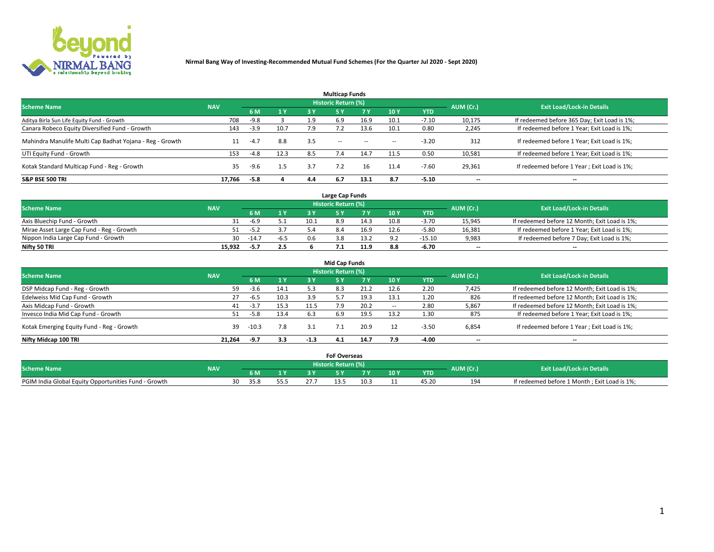

|                                                          |            |        |      |     | <b>Multicap Funds</b> |           |                          |            |           |                                              |
|----------------------------------------------------------|------------|--------|------|-----|-----------------------|-----------|--------------------------|------------|-----------|----------------------------------------------|
| <b>Scheme Name</b>                                       | <b>NAV</b> |        |      |     | Historic Return (%)   |           |                          |            | AUM (Cr.) | <b>Exit Load/Lock-in Details</b>             |
|                                                          |            | 6 M    | 1 Y  | 3 Y | <b>5Y</b>             | <b>7Y</b> | 10Y                      | <b>YTD</b> |           |                                              |
| Aditya Birla Sun Life Equity Fund - Growth               | 708        | $-9.8$ |      | 1.9 | 6.9                   | 16.9      | 10.1                     | $-7.10$    | 10,175    | If redeemed before 365 Day; Exit Load is 1%; |
| Canara Robeco Equity Diversified Fund - Growth           | 143        | $-3.9$ | 10.7 | 7.9 |                       | 13.6      | 10.1                     | 0.80       | 2,245     | If redeemed before 1 Year; Exit Load is 1%;  |
| Mahindra Manulife Multi Cap Badhat Yojana - Reg - Growth | 11         | $-4.7$ | 8.8  | 3.5 | $\sim$ $-$            | $\sim$    | $\overline{\phantom{a}}$ | $-3.20$    | 312       | If redeemed before 1 Year; Exit Load is 1%;  |
| UTI Equity Fund - Growth                                 | 153        | $-4.8$ | 12.3 | 8.5 |                       | 14.7      | 11.5                     | 0.50       | 10,581    | If redeemed before 1 Year; Exit Load is 1%;  |
| Kotak Standard Multicap Fund - Reg - Growth              | 35         | $-9.6$ | 1.5  | 3.7 |                       |           | 11.4                     | $-7.60$    | 29,361    | If redeemed before 1 Year; Exit Load is 1%;  |
| <b>S&amp;P BSE 500 TRI</b>                               | 17.766     | $-5.8$ |      | 4.4 |                       | 13.1      | 8.7                      | $-5.10$    | --        | $- -$                                        |

|                                           |            |         |              |      | Large Cap Funds     |      |      |            |                          |                                               |
|-------------------------------------------|------------|---------|--------------|------|---------------------|------|------|------------|--------------------------|-----------------------------------------------|
| <b>Scheme Name</b>                        | <b>NAV</b> |         |              |      | Historic Return (%) |      |      |            | AUM (Cr.)                | <b>Exit Load/Lock-in Details</b>              |
|                                           |            | 6 M     | $\sqrt{1}$ Y |      |                     |      | 10 Y | <b>YTD</b> |                          |                                               |
| Axis Bluechip Fund - Growth               |            | $-6.9$  |              | 10.1 | 8.9                 | 14.3 | 10.8 | $-3.70$    | 15,945                   | If redeemed before 12 Month; Exit Load is 1%; |
| Mirae Asset Large Cap Fund - Reg - Growth |            | $-5.2$  |              |      |                     | 16.9 | 12.6 | $-5.80$    | 16,381                   | If redeemed before 1 Year; Exit Load is 1%;   |
| Nippon India Large Cap Fund - Growth      | 30         | $-14.7$ | $-6.5$       |      |                     | 13.2 | ۰ ۵  | $-15.10$   | 9,983                    | If redeemed before 7 Day; Exit Load is 1%;    |
| Nifty 50 TRI                              | 15.932     | -5.7    | 2.5          |      |                     | 11.9 | 8.8  | -6.70      | $\overline{\phantom{a}}$ | $- -$                                         |

| <b>Mid Cap Funds</b>                      |            |         |      |        |                            |      |            |            |                          |                                               |  |  |  |
|-------------------------------------------|------------|---------|------|--------|----------------------------|------|------------|------------|--------------------------|-----------------------------------------------|--|--|--|
| <b>Scheme Name</b>                        | <b>NAV</b> |         |      |        | <b>Historic Return (%)</b> |      |            |            | AUM (Cr.)                | <b>Exit Load/Lock-in Details</b>              |  |  |  |
|                                           |            | 6 M     | 1 Y  | 3 Y    |                            | 7 V  | <b>10Y</b> | <b>YTD</b> |                          |                                               |  |  |  |
| DSP Midcap Fund - Reg - Growth            | 59         | -3.6    | 14.1 | 5.3    | 8.3                        | 21.2 | 12.6       | 2.20       | 7,425                    | If redeemed before 12 Month; Exit Load is 1%; |  |  |  |
| Edelweiss Mid Cap Fund - Growth           | 27         | $-6.5$  | 10.3 | 3.9    | 57                         | 19.3 | 13.1       | 1.20       | 826                      | If redeemed before 12 Month; Exit Load is 1%; |  |  |  |
| Axis Midcap Fund - Growth                 | 41         | $-3.7$  | 15.3 | 11.5   |                            | 20.2 | $\sim$     | 2.80       | 5,867                    | If redeemed before 12 Month; Exit Load is 1%; |  |  |  |
| Invesco India Mid Cap Fund - Growth       | 51         | $-5.8$  | 13.4 | 6.3    | 6.9                        | 19.5 | 13.2       | 1.30       | 875                      | If redeemed before 1 Year; Exit Load is 1%;   |  |  |  |
| Kotak Emerging Equity Fund - Reg - Growth | 39         | $-10.3$ | 7.8  | 3.1    |                            | 20.9 |            | $-3.50$    | 6,854                    | If redeemed before 1 Year; Exit Load is 1%;   |  |  |  |
| Nifty Midcap 100 TRI                      | 21.264     | -9.7    | 3.3  | $-1.3$ | 4.1                        | 14.7 | 7.9        | $-4.00$    | $\overline{\phantom{a}}$ | $\overline{\phantom{a}}$                      |  |  |  |

|                                                      |            |            |     | <b>FoF Overseas</b>        |      |     |            |           |                                              |
|------------------------------------------------------|------------|------------|-----|----------------------------|------|-----|------------|-----------|----------------------------------------------|
| <b>Scheme Name</b>                                   | <b>NAV</b> |            |     | <b>Historic Return (%)</b> |      |     |            | AUM (Cr.) | <b>Exit Load/Lock-in Details</b>             |
|                                                      |            | 6 M        |     |                            |      | 10Y | <b>YTD</b> |           |                                              |
| PGIM India Global Equity Opportunities Fund - Growth |            | 30<br>35.8 | 55. |                            | 10.3 |     | 45.20      | 194       | If redeemed before 1 Month; Exit Load is 1%; |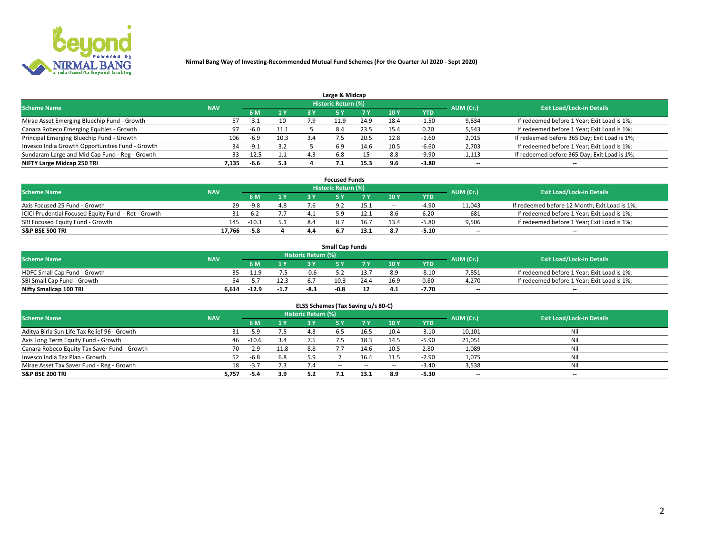

| Large & Midcap                                   |            |         |      |     |                            |      |      |         |                          |                                              |  |  |  |
|--------------------------------------------------|------------|---------|------|-----|----------------------------|------|------|---------|--------------------------|----------------------------------------------|--|--|--|
| <b>Scheme Name</b>                               | <b>NAV</b> |         |      |     | <b>Historic Return (%)</b> |      |      |         | AUM (Cr.)                | <b>Exit Load/Lock-in Details</b>             |  |  |  |
|                                                  |            | 6 M     | 1Y   | 3 Y |                            | 7 V  | 10Y  | YTD     |                          |                                              |  |  |  |
| Mirae Asset Emerging Bluechip Fund - Growth      |            | -3.1    | 10   | 7.9 | -1.9                       | 24.9 | 18.4 | 1.50    | 9,834                    | If redeemed before 1 Year; Exit Load is 1%;  |  |  |  |
| Canara Robeco Emerging Equities - Growth         | 97         | $-6.0$  | 11.1 |     | 8.4                        | 23.5 | 15.4 | 0.20    | 5,543                    | If redeemed before 1 Year; Exit Load is 1%;  |  |  |  |
| Principal Emerging Bluechip Fund - Growth        | 106        | $-6.9$  | 10.3 | 3.4 |                            | 20.5 | 12.8 | $-1.60$ | 2,015                    | If redeemed before 365 Day; Exit Load is 1%; |  |  |  |
| Invesco India Growth Opportunities Fund - Growth | 34         | $-9.1$  | 3.2  |     | 6.9                        | 14.6 | 10.5 | $-6.60$ | 2,703                    | If redeemed before 1 Year; Exit Load is 1%;  |  |  |  |
| Sundaram Large and Mid Cap Fund - Reg - Growth   | 33         | $-12.5$ | 1.1  | 4.3 | 6.8                        |      | 8.8  | $-9.90$ | 1,113                    | If redeemed before 365 Day; Exit Load is 1%; |  |  |  |
| NIFTY Large Midcap 250 TRI                       | 7.135      | -6.6    | 5.3  |     |                            | 15.3 |      | $-3.80$ | $\overline{\phantom{a}}$ | $- -$                                        |  |  |  |

|                                                     |            |        |                |     | <b>Focused Funds</b> |      |        |            |                          |                                               |
|-----------------------------------------------------|------------|--------|----------------|-----|----------------------|------|--------|------------|--------------------------|-----------------------------------------------|
| <b>Scheme Name</b>                                  | <b>NAV</b> |        |                |     | Historic Return (%)  |      |        |            | AUM (Cr.)                | <b>Exit Load/Lock-in Details</b>              |
|                                                     |            | 6 M    | 1 <sub>V</sub> |     |                      |      | 10 Y   | <b>YTD</b> |                          |                                               |
| Axis Focused 25 Fund - Growth                       | 29         | -9.8   | 4.8            |     |                      |      | $\sim$ | $-4.9$     | 11,043                   | If redeemed before 12 Month; Exit Load is 1%; |
| ICICI Prudential Focused Equity Fund - Ret - Growth | 31         | 6.2    |                |     |                      |      |        | 6.20       | 681                      | If redeemed before 1 Year; Exit Load is 1%;   |
| SBI Focused Equity Fund - Growth                    | 145        | -10.3  |                | 8.4 |                      | 16.7 |        | $-5.80$    | 9,506                    | If redeemed before 1 Year; Exit Load is 1%;   |
| S&P BSE 500 TRI                                     | 17,766     | $-5.8$ |                |     |                      | 13.1 |        | $-5.10$    | $\overline{\phantom{a}}$ | $- -$                                         |

| <b>Small Cap Funds</b>       |            |         |        |                     |        |      |                 |            |           |                                             |  |  |
|------------------------------|------------|---------|--------|---------------------|--------|------|-----------------|------------|-----------|---------------------------------------------|--|--|
| <b>Scheme Name</b>           | <b>NAV</b> |         |        | Historic Return (%) |        |      |                 |            | AUM (Cr.) | <b>Exit Load/Lock-in Details</b>            |  |  |
|                              |            | 6 M     | 1 Y    |                     |        |      | 10 <sub>Y</sub> | <b>YTD</b> |           |                                             |  |  |
| HDFC Small Cap Fund - Growth |            | $-11.9$ | $-7.5$ | -0.6                |        |      | 8.9             | $-8.10$    | 7,851     | If redeemed before 1 Year; Exit Load is 1%; |  |  |
| SBI Small Cap Fund - Growth  | 54.        | -5.     | 12.3   |                     | 10.3   | 24.4 | 16.9            | 0.80       | 4.270     | If redeemed before 1 Year; Exit Load is 1%; |  |  |
| Nifty Smallcap 100 TRI       | 6.614      | $-12.9$ | $-1.7$ | -8.:                | $-0.8$ |      | 4.1             | -7.70      | $- -$     | $- -$                                       |  |  |

| ELSS Schemes (Tax Saving u/s 80-C)           |            |         |      |                            |           |        |                          |            |                          |                                  |  |  |  |
|----------------------------------------------|------------|---------|------|----------------------------|-----------|--------|--------------------------|------------|--------------------------|----------------------------------|--|--|--|
| <b>Scheme Name</b>                           | <b>NAV</b> |         |      | <b>Historic Return (%)</b> |           |        |                          |            | AUM (Cr.)                | <b>Exit Load/Lock-in Details</b> |  |  |  |
|                                              |            | - 6 M   | 1Y   | 73 Y                       | <b>5Y</b> | 7 Y    | 10 Y                     | <b>YTD</b> |                          |                                  |  |  |  |
| Aditya Birla Sun Life Tax Relief 96 - Growth |            | -5.9    | 7.5  | 4. -                       |           | 16.5   | 10.4                     | $-3.10$    | 10,101                   | Nil                              |  |  |  |
| Axis Long Term Equity Fund - Growth          | 46         | $-10.6$ | 3.4  | 7.5                        |           | 18.3   | 14.5                     | $-5.90$    | 21,051                   | Nil                              |  |  |  |
| Canara Robeco Equity Tax Saver Fund - Growth | 70         | $-2.9$  | 11.8 | 8.8                        |           | 14.6   | 10.5                     | 2.80       | 1,089                    | Nil                              |  |  |  |
| Invesco India Tax Plan - Growth              |            | $-6.8$  | 6.8  | 5.9                        |           | 16.4   | 11.5                     | $-2.90$    | 1,075                    | Nil                              |  |  |  |
| Mirae Asset Tax Saver Fund - Reg - Growth    | 18         | $-3.7$  | 7.3  |                            | $- -$     | $\sim$ | $\overline{\phantom{a}}$ | $-3.40$    | 3,538                    | Nil                              |  |  |  |
| S&P BSE 200 TRI                              | 5,757      | -5.4    | 3.9  | 5.2                        |           | 13.1   | 8.9                      | $-5.30$    | $\overline{\phantom{a}}$ | $- -$                            |  |  |  |

# 2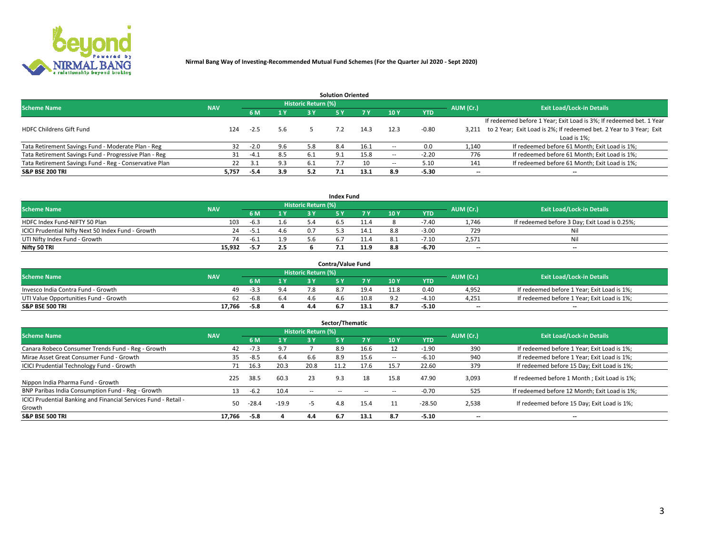

|                                                        |            |            |     |                            | <b>Solution Oriented</b> |      |                          |            |                          |                                                                     |
|--------------------------------------------------------|------------|------------|-----|----------------------------|--------------------------|------|--------------------------|------------|--------------------------|---------------------------------------------------------------------|
| <b>Scheme Name</b>                                     | <b>NAV</b> |            |     | <b>Historic Return (%)</b> |                          |      |                          |            | AUM (Cr.)                | <b>Exit Load/Lock-in Details</b>                                    |
|                                                        |            | <b>6 M</b> | 1 Y | 3 Y                        |                          |      | 10Y                      | <b>YTD</b> |                          |                                                                     |
|                                                        |            |            |     |                            |                          |      |                          |            |                          | If redeemed before 1 Year; Exit Load is 3%; If redeemed bet. 1 Year |
| <b>HDFC Childrens Gift Fund</b>                        | 124        | $-2.5$     | 5.6 |                            |                          | 14.3 | 12.3                     | $-0.80$    | 3.211                    | to 2 Year; Exit Load is 2%; If redeemed bet. 2 Year to 3 Year; Exit |
|                                                        |            |            |     |                            |                          |      |                          |            |                          | Load is 1%;                                                         |
| Tata Retirement Savings Fund - Moderate Plan - Reg     | 32         | $-2.0$     | 9.6 | 5.8                        | 8.4                      | 16.1 | --                       | 0.0        | 1,140                    | If redeemed before 61 Month; Exit Load is 1%;                       |
| Tata Retirement Savings Fund - Progressive Plan - Reg  | 31         | $-4.1$     | 8.5 | 6.1                        | 9.1                      | 15.8 | $\overline{\phantom{a}}$ | $-2.20$    | 776                      | If redeemed before 61 Month; Exit Load is 1%;                       |
| Tata Retirement Savings Fund - Reg - Conservative Plan | 22         | 3.1        | 9.3 | -6.1                       |                          | 10   | --                       | 5.10       | 141                      | If redeemed before 61 Month; Exit Load is 1%;                       |
| S&P BSE 200 TRI                                        | 5,757      | $-5.4$     | 3.9 | 5.2                        |                          | 13.1 | 8.9                      | $-5.30$    | $\overline{\phantom{a}}$ | $- -$                                                               |

|                                                    |            |        |            |                            | <b>Index Fund</b> |      |      |            |                          |                                               |
|----------------------------------------------------|------------|--------|------------|----------------------------|-------------------|------|------|------------|--------------------------|-----------------------------------------------|
| <b>Scheme Name</b>                                 | <b>NAV</b> |        |            | <b>Historic Return (%)</b> |                   |      |      |            | AUM (Cr.)                | <b>Exit Load/Lock-in Details</b>              |
|                                                    |            |        | <b>4 Y</b> | 2 V                        |                   | 7 V  | 10 Y | <b>YTD</b> |                          |                                               |
| HDFC Index Fund-NIFTY 50 Plan                      | 103        | $-6.3$ | 1.6        |                            |                   |      |      | $-7.40$    | 1.746                    | If redeemed before 3 Day; Exit Load is 0.25%; |
| ICICI Prudential Nifty Next 50 Index Fund - Growth | 24         | -5.1   | 4.6        |                            |                   | 14.1 |      | $-3.00$    | 729                      | Nil                                           |
| UTI Nifty Index Fund - Growth                      | 74         | -6.1   | 1.9        |                            |                   |      |      | $-7.10$    | 2,571                    | Nil                                           |
| Nifty 50 TRI                                       | 15,932     | $-5.7$ | 2.5        |                            |                   | 11.9 | 8.8  | -6.70      | $\overline{\phantom{a}}$ | $- -$                                         |

| <b>Contra/Value Fund</b>              |            |        |  |                     |  |      |      |            |                          |                                             |  |  |  |
|---------------------------------------|------------|--------|--|---------------------|--|------|------|------------|--------------------------|---------------------------------------------|--|--|--|
| <b>Scheme Name</b>                    | <b>NAV</b> |        |  | Historic Return (%) |  |      |      |            | AUM (Cr.)                | <b>Exit Load/Lock-in Details</b>            |  |  |  |
|                                       |            |        |  |                     |  | 7 Y  | 10Y  | <b>YTD</b> |                          |                                             |  |  |  |
| Invesco India Contra Fund - Growth    | 49         | -3.3   |  |                     |  | 19.4 | 11.8 | 0.40       | 4,952                    | If redeemed before 1 Year; Exit Load is 1%; |  |  |  |
| UTI Value Opportunities Fund - Growth | 62         | $-6.8$ |  |                     |  | 10.8 |      | $-4.10$    | 4,251                    | If redeemed before 1 Year; Exit Load is 1%; |  |  |  |
| <b>S&amp;P BSE 500 TRI</b>            | 17.766     | -5.8   |  |                     |  |      |      | $-5.10$    | $\overline{\phantom{a}}$ | $- -$                                       |  |  |  |

| Sector/Thematic                                                           |            |         |         |                     |            |            |                          |            |                          |                                               |  |  |  |
|---------------------------------------------------------------------------|------------|---------|---------|---------------------|------------|------------|--------------------------|------------|--------------------------|-----------------------------------------------|--|--|--|
| <b>Scheme Name</b>                                                        | <b>NAV</b> |         |         | Historic Return (%) |            |            |                          |            | AUM (Cr.)                | <b>Exit Load/Lock-in Details</b>              |  |  |  |
|                                                                           |            | 6 M     | 1 Y     | 3 Y                 | <b>5Y</b>  | <b>7 Y</b> | 10Y                      | <b>YTD</b> |                          |                                               |  |  |  |
| Canara Robeco Consumer Trends Fund - Reg - Growth                         | 42         | $-7.3$  | 9.7     |                     | 8.9        | 16.6       |                          | $-1.90$    | 390                      | If redeemed before 1 Year; Exit Load is 1%;   |  |  |  |
| Mirae Asset Great Consumer Fund - Growth                                  | 35         | $-8.5$  | 6.4     | .b.b                | 8.9        | 15.6       | $\overline{\phantom{a}}$ | $-6.10$    | 940                      | If redeemed before 1 Year; Exit Load is 1%;   |  |  |  |
| <b>ICICI Prudential Technology Fund - Growth</b>                          | 71         | 16.3    | 20.3    | 20.8                | 11.2       | 17.6       | 15.7                     | 22.60      | 379                      | If redeemed before 15 Day; Exit Load is 1%;   |  |  |  |
| Nippon India Pharma Fund - Growth                                         | 225        | 38.5    | 60.3    | 23                  | 9.3        | 18         | 15.8                     | 47.90      | 3,093                    | If redeemed before 1 Month; Exit Load is 1%;  |  |  |  |
| BNP Paribas India Consumption Fund - Reg - Growth                         | 13         | $-6.2$  | 10.4    | $\sim$ $\sim$       | $\sim$ $-$ | $- -$      | $\overline{\phantom{a}}$ | $-0.70$    | 525                      | If redeemed before 12 Month; Exit Load is 1%; |  |  |  |
| ICICI Prudential Banking and Financial Services Fund - Retail -<br>Growth | 50         | $-28.4$ | $-19.9$ | -5                  | 4.8        | 15.4       |                          | $-28.50$   | 2,538                    | If redeemed before 15 Day; Exit Load is 1%;   |  |  |  |
| <b>S&amp;P BSE 500 TRI</b>                                                | 17.766     | $-5.8$  |         | 4.4                 | 6.7        | 13.1       | 8.7                      | $-5.10$    | $\overline{\phantom{a}}$ | --                                            |  |  |  |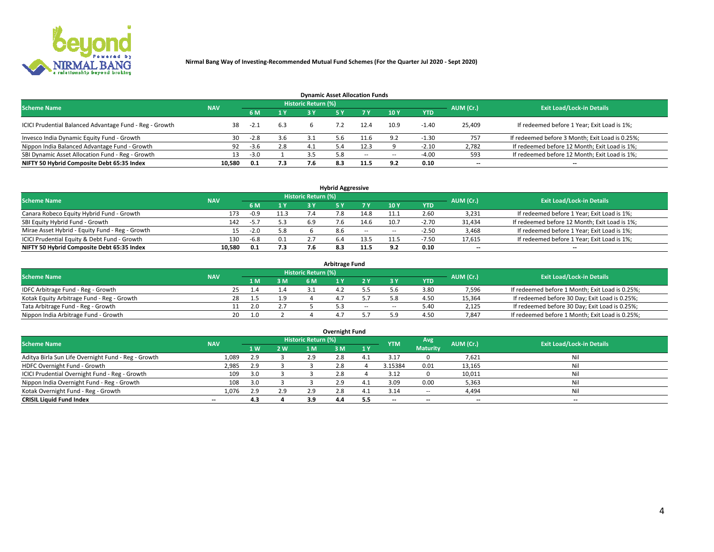

| <b>Dynamic Asset Allocation Funds</b>                   |            |        |     |                            |     |        |      |            |                          |                                                 |  |  |  |  |
|---------------------------------------------------------|------------|--------|-----|----------------------------|-----|--------|------|------------|--------------------------|-------------------------------------------------|--|--|--|--|
| <b>Scheme Name</b>                                      | <b>NAV</b> |        |     | <b>Historic Return (%)</b> |     |        |      |            | AUM (Cr.)                | <b>Exit Load/Lock-in Details</b>                |  |  |  |  |
|                                                         |            | 6 M    | 1 Y | 3 Y                        |     |        | 10Y  | <b>YTD</b> |                          |                                                 |  |  |  |  |
| ICICI Prudential Balanced Advantage Fund - Reg - Growth | 38         | $-2.1$ | 6.3 |                            |     | 12.4   | 10.9 | $-1.40$    | 25,409                   | If redeemed before 1 Year; Exit Load is 1%;     |  |  |  |  |
| Invesco India Dynamic Equity Fund - Growth              | 30         | $-2.8$ | 3.6 |                            | 5.6 | $-1.6$ | 9.2  | $-1.30$    | 757                      | If redeemed before 3 Month; Exit Load is 0.25%; |  |  |  |  |
| Nippon India Balanced Advantage Fund - Growth           | 92         | -3.6   | 2.8 |                            |     | 12.3   |      | $-2.10$    | 2,782                    | If redeemed before 12 Month; Exit Load is 1%;   |  |  |  |  |
| SBI Dynamic Asset Allocation Fund - Reg - Growth        |            | $-3.0$ |     |                            | 5.8 | $\sim$ | --   | $-4.00$    | 593                      | If redeemed before 12 Month; Exit Load is 1%;   |  |  |  |  |
| NIFTY 50 Hybrid Composite Debt 65:35 Index              | 10.580     | 0.1    | 7.3 |                            | 8.3 | 11.5   | 9.2  | 0.10       | $\overline{\phantom{a}}$ | $- -$                                           |  |  |  |  |

| <b>Hybrid Aggressive</b>                        |            |        |         |                     |     |        |                          |            |                          |                                               |  |  |  |  |
|-------------------------------------------------|------------|--------|---------|---------------------|-----|--------|--------------------------|------------|--------------------------|-----------------------------------------------|--|--|--|--|
| <b>Scheme Name</b>                              | <b>NAV</b> |        |         | Historic Return (%) |     |        |                          |            | AUM (Cr.)                | <b>Exit Load/Lock-in Details</b>              |  |  |  |  |
|                                                 |            | 6 M    | 1 Y     | RУ                  |     |        | 10Y                      | <b>YTD</b> |                          |                                               |  |  |  |  |
| Canara Robeco Equity Hybrid Fund - Growth       | 173        | -0.9   | 11.3    |                     | , o | 14.8   | 11.1                     | 2.60       | 3,231                    | If redeemed before 1 Year; Exit Load is 1%;   |  |  |  |  |
| SBI Equity Hybrid Fund - Growth                 | 142        | -5.7   | 5.3     | 6.9                 |     | 14.6   | 10.7                     | $-2.70$    | 31,434                   | If redeemed before 12 Month; Exit Load is 1%; |  |  |  |  |
| Mirae Asset Hybrid - Equity Fund - Reg - Growth | 15         | $-2.0$ | 5.8     |                     | 8.6 | $\sim$ | $\overline{\phantom{a}}$ | $-2.50$    | 3,468                    | If redeemed before 1 Year; Exit Load is 1%;   |  |  |  |  |
| ICICI Prudential Equity & Debt Fund - Growth    | 130        | $-6.8$ | $0.1\,$ |                     |     | 13.5   | 11.5                     | $-7.50$    | 17,615                   | If redeemed before 1 Year; Exit Load is 1%;   |  |  |  |  |
| NIFTY 50 Hybrid Composite Debt 65:35 Index      | 10.580     | 0.1    | 7.3     |                     |     | 11.5   |                          | 0.10       | $\overline{\phantom{a}}$ | $- -$                                         |  |  |  |  |

| <b>Arbitrage Fund</b>                      |            |           |     |                     |  |        |        |            |           |                                                 |  |  |  |  |
|--------------------------------------------|------------|-----------|-----|---------------------|--|--------|--------|------------|-----------|-------------------------------------------------|--|--|--|--|
| <b>Scheme Name</b>                         | <b>NAV</b> |           |     | Historic Return (%) |  |        |        |            | AUM (Cr.) | <b>Exit Load/Lock-in Details</b>                |  |  |  |  |
|                                            |            | 1 M.      | 3 M | <b>6M</b>           |  |        |        | <b>YTD</b> |           |                                                 |  |  |  |  |
| IDFC Arbitrage Fund - Reg - Growth         |            | 25        |     |                     |  |        |        | 3.80       | 7,596     | If redeemed before 1 Month; Exit Load is 0.25%; |  |  |  |  |
| Kotak Equity Arbitrage Fund - Reg - Growth |            |           |     |                     |  |        |        | 4.50       | 15,364    | If redeemed before 30 Day; Exit Load is 0.25%;  |  |  |  |  |
| Tata Arbitrage Fund - Reg - Growth         |            | 2.0       |     |                     |  | $\sim$ | $\sim$ | 5.40       | 2,125     | If redeemed before 30 Day; Exit Load is 0.25%;  |  |  |  |  |
| Nippon India Arbitrage Fund - Growth       |            | 1.0<br>20 |     |                     |  |        | ິດ     | 4.50       | 7.847     | If redeemed before 1 Month; Exit Load is 0.25%; |  |  |  |  |

| Overnight Fund                                      |            |           |     |                            |     |     |            |                 |           |                                  |  |  |  |
|-----------------------------------------------------|------------|-----------|-----|----------------------------|-----|-----|------------|-----------------|-----------|----------------------------------|--|--|--|
| <b>Scheme Name</b>                                  | <b>NAV</b> |           |     | <b>Historic Return (%)</b> |     |     | <b>YTM</b> | Avg             | AUM (Cr.) | <b>Exit Load/Lock-in Details</b> |  |  |  |
|                                                     |            | <b>1W</b> | 2 W | 1 M                        | ۱M  | 1Y  |            | <b>Maturity</b> |           |                                  |  |  |  |
| Aditya Birla Sun Life Overnight Fund - Reg - Growth | 1,089      | 2.9       |     | 2.9                        |     |     | 3.17       |                 | 7,621     | Nil                              |  |  |  |
| HDFC Overnight Fund - Growth                        | 2,985      | 2.9       |     |                            |     |     | 3.15384    | 0.01            | 13,165    | Nil                              |  |  |  |
| ICICI Prudential Overnight Fund - Reg - Growth      | 109        | 3.0       |     |                            |     |     | 3.12       |                 | 10,011    | Nil                              |  |  |  |
| Nippon India Overnight Fund - Reg - Growth          | 108        | 3.0       |     |                            |     | 4.1 | 3.09       | 0.00            | 5,363     | Nil                              |  |  |  |
| Kotak Overnight Fund - Reg - Growth                 | 1,076      | 2.9       | 2.9 | 2.9                        |     |     | 3.14       | $\sim$ $-$      | 4,494     | Nil                              |  |  |  |
| <b>CRISIL Liquid Fund Index</b>                     | $- -$      | 4.3       |     | 3.9                        | 4.4 |     | --         | $- -$           | --        | --                               |  |  |  |

### **Overnight Fund**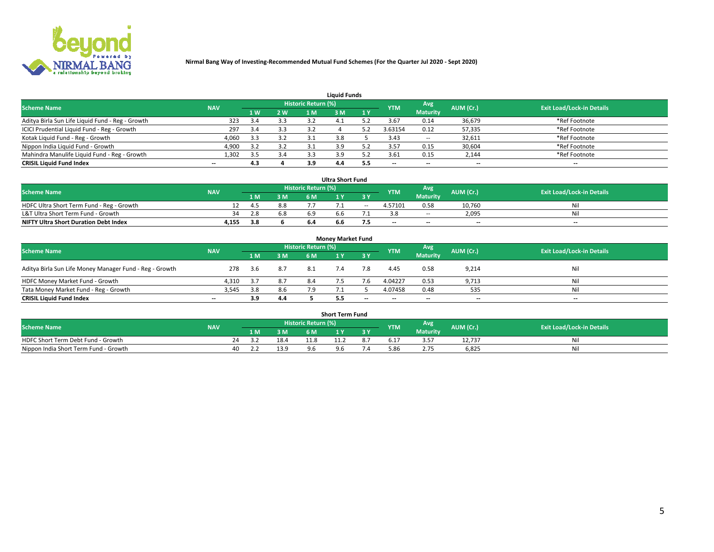

| <b>Liquid Funds</b>                              |            |     |     |                            |     |     |                          |                 |                          |                                  |  |  |  |  |
|--------------------------------------------------|------------|-----|-----|----------------------------|-----|-----|--------------------------|-----------------|--------------------------|----------------------------------|--|--|--|--|
| <b>Scheme Name</b>                               | <b>NAV</b> |     |     | <b>Historic Return (%)</b> |     |     | <b>YTM</b>               | Avg             | AUM (Cr.)                | <b>Exit Load/Lock-in Details</b> |  |  |  |  |
|                                                  |            | 1 W | 2 W | 1 M                        | ዩ M | 1Y  |                          | <b>Maturity</b> |                          |                                  |  |  |  |  |
| Aditya Birla Sun Life Liquid Fund - Reg - Growth | 323        |     | 3.3 | -3.2                       |     |     | 3.67                     | 0.14            | 36,679                   | *Ref Footnote                    |  |  |  |  |
| ICICI Prudential Liquid Fund - Reg - Growth      | 297        | 3.4 | 3.3 | 3.2                        |     |     | 3.63154                  | 0.12            | 57,335                   | *Ref Footnote                    |  |  |  |  |
| Kotak Liquid Fund - Reg - Growth                 | 4,060      | 3.3 | 3.2 |                            |     |     | 3.43                     | $\sim$ $-$      | 32,611                   | *Ref Footnote                    |  |  |  |  |
| Nippon India Liquid Fund - Growth                | 4,900      | っっ  | 3.2 |                            |     |     | 3.57                     | 0.15            | 30,604                   | *Ref Footnote                    |  |  |  |  |
| Mahindra Manulife Liquid Fund - Reg - Growth     | 1,302      | 3.5 | 3.4 |                            | 3.9 |     | 3.61                     | 0.15            | 2,144                    | *Ref Footnote                    |  |  |  |  |
| <b>CRISIL Liquid Fund Index</b>                  | $- -$      | 4.3 |     | 3.9                        | 4.4 | 5.5 | $\overline{\phantom{a}}$ | $- -$           | $\overline{\phantom{a}}$ | $\overline{\phantom{m}}$         |  |  |  |  |

| <b>Ultra Short Fund</b>                      |            |      |     |                            |     |        |                          |                 |                          |                                  |  |  |  |
|----------------------------------------------|------------|------|-----|----------------------------|-----|--------|--------------------------|-----------------|--------------------------|----------------------------------|--|--|--|
| <b>Scheme Name</b>                           | <b>NAV</b> |      |     | <b>Historic Return (%)</b> |     |        | <b>YTM</b>               | <b>Avg</b>      | AUM (Cr.)                | <b>Exit Load/Lock-in Details</b> |  |  |  |
|                                              |            | 1 M. | 3 M | 6 M                        |     | 3 Y    |                          | <b>Maturity</b> |                          |                                  |  |  |  |
| HDFC Ultra Short Term Fund - Reg - Growth    |            | 4.5  | 8.8 |                            |     | $\sim$ | 4.57101                  | 0.58            | 10.760                   | Nil                              |  |  |  |
| L&T Ultra Short Term Fund - Growth           | 34         | 2.8  | 6.8 |                            | h h |        |                          | <b>COLUM</b>    | 2,095                    | Nil                              |  |  |  |
| <b>NIFTY Ultra Short Duration Debt Index</b> | 4,155      | 3.8  |     | 6.4                        | b.b |        | $\overline{\phantom{a}}$ | $- -$           | $\overline{\phantom{a}}$ | $- -$                            |  |  |  |

| <b>Money Market Fund</b>                                |            |      |     |                     |  |       |                          |                 |                          |                                  |  |  |  |  |
|---------------------------------------------------------|------------|------|-----|---------------------|--|-------|--------------------------|-----------------|--------------------------|----------------------------------|--|--|--|--|
| <b>Scheme Name</b>                                      | <b>NAV</b> |      |     | Historic Return (%) |  |       | <b>YTM</b>               | Avg             | AUM (Cr.)                | <b>Exit Load/Lock-in Details</b> |  |  |  |  |
|                                                         |            | 1 M  | 3 M | 6 M                 |  | 3 Y   |                          | <b>Maturity</b> |                          |                                  |  |  |  |  |
| Aditya Birla Sun Life Money Manager Fund - Reg - Growth | 278        | -3.6 | 8.7 | 8.1                 |  | 7.8   | 4.45                     | 0.58            | 9,214                    | Nil                              |  |  |  |  |
| HDFC Money Market Fund - Growth                         | 4.310      | -3.7 | 8.7 | 8.4                 |  |       | 4.04227                  | 0.53            | 9,713                    | Nil                              |  |  |  |  |
| Tata Money Market Fund - Reg - Growth                   | 3,545      | 3.8  | 8.6 | 7.9                 |  |       | 4.07458                  | 0.48            | 535                      | Nil                              |  |  |  |  |
| <b>CRISIL Liquid Fund Index</b>                         | $- -$      | 3.9  | 4.4 |                     |  | $- -$ | $\overline{\phantom{a}}$ | $- -$           | $\overline{\phantom{a}}$ | $\overline{\phantom{a}}$         |  |  |  |  |

|                                       |            |       |      |                     | <b>Short Term Fund</b> |    |      |                 |           |                                  |
|---------------------------------------|------------|-------|------|---------------------|------------------------|----|------|-----------------|-----------|----------------------------------|
| <b>Scheme Name</b>                    | <b>NAV</b> |       |      | Historic Return (%) |                        |    | YTM  | Avg             | AUM (Cr.) | <b>Exit Load/Lock-in Details</b> |
|                                       |            | 1 M . | 3 M  | 6 M                 | l M                    | 2V |      | <b>Maturity</b> |           |                                  |
| HDFC Short Term Debt Fund - Growth    |            |       | 18.4 |                     |                        |    | .17د | - --            | 12,737    | M                                |
| Nippon India Short Term Fund - Growth | 40         |       | 13.9 |                     |                        |    | 5.86 |                 | 6,825     | N                                |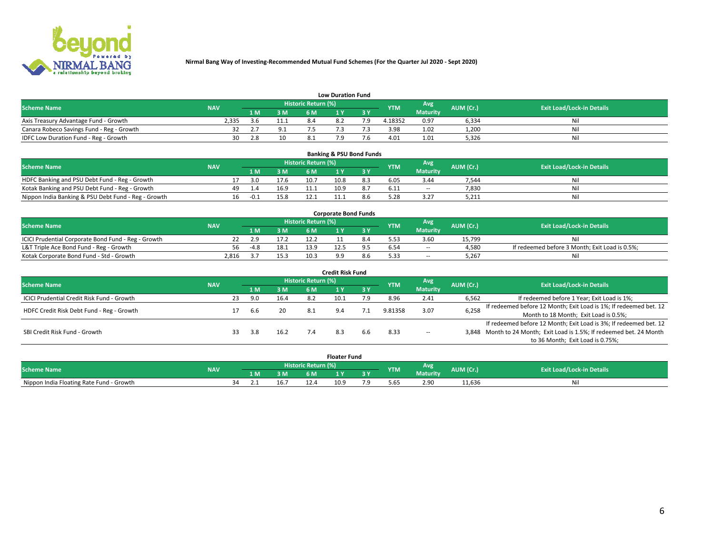

|                                           | <b>Low Duration Fund</b> |      |     |                     |     |     |            |                 |           |                                  |  |  |  |  |  |
|-------------------------------------------|--------------------------|------|-----|---------------------|-----|-----|------------|-----------------|-----------|----------------------------------|--|--|--|--|--|
| <b>Scheme Name</b>                        | <b>NAV</b>               |      |     | Historic Return (%) |     |     | <b>YTM</b> | Avg             | AUM (Cr.) | <b>Exit Load/Lock-in Details</b> |  |  |  |  |  |
|                                           |                          | L M. | 3 M |                     |     | 3 Y |            | <b>Maturity</b> |           |                                  |  |  |  |  |  |
| Axis Treasury Advantage Fund - Growth     | 2.335                    | ≺h   | ᆠᆠᆡ |                     | 8.2 |     | 4.18352    | 0.97            | 6,334     | Nil                              |  |  |  |  |  |
| Canara Robeco Savings Fund - Reg - Growth |                          |      |     |                     |     |     | 3.98       | 1.02            | 1,200     | Nil                              |  |  |  |  |  |
| IDFC Low Duration Fund - Reg - Growth     | 30                       | 2.8  | 10  |                     |     |     | 4.01       | 1.01            | 5,326     | Nil                              |  |  |  |  |  |

| <b>Banking &amp; PSU Bond Funds</b>                 |            |     |        |      |                     |      |                               |            |                 |           |                                  |  |  |  |
|-----------------------------------------------------|------------|-----|--------|------|---------------------|------|-------------------------------|------------|-----------------|-----------|----------------------------------|--|--|--|
| <b>Scheme Name</b>                                  | <b>NAV</b> |     |        |      | Historic Return (%) |      |                               | <b>YTM</b> | Avg             | AUM (Cr.) | <b>Exit Load/Lock-in Details</b> |  |  |  |
|                                                     |            |     | 1 M    | 3 M  | 6 M                 |      | $\overline{3}$ $\overline{V}$ |            | <b>Maturity</b> |           |                                  |  |  |  |
| HDFC Banking and PSU Debt Fund - Reg - Growth       |            |     | 3.0    | 17.6 | 10.7                | 10.8 | 8.3                           | 6.05       | 3.44            | 7,544     | Νi                               |  |  |  |
| Kotak Banking and PSU Debt Fund - Reg - Growth      |            | 49. | 1.4    | 16.9 | 11.1                | 10.9 | 8.7                           | 6.11       | $\sim$ $-$      | 7.830     | Ni                               |  |  |  |
| Nippon India Banking & PSU Debt Fund - Reg - Growth |            | 16  | $-0.1$ | 15.8 |                     |      |                               |            | 3.27            | 5.211     | Ni                               |  |  |  |

| <b>Corporate Bond Funds</b>                         |            |      |      |                            |  |  |            |                 |           |                                                |  |  |  |  |
|-----------------------------------------------------|------------|------|------|----------------------------|--|--|------------|-----------------|-----------|------------------------------------------------|--|--|--|--|
| <b>Scheme Name</b>                                  | <b>NAV</b> |      |      | <b>Historic Return (%)</b> |  |  | <b>YTM</b> | Avg             | AUM (Cr.) | <b>Exit Load/Lock-in Details</b>               |  |  |  |  |
|                                                     |            |      | 3 M  | 6 M                        |  |  |            | <b>Maturity</b> |           |                                                |  |  |  |  |
| ICICI Prudential Corporate Bond Fund - Reg - Growth |            |      |      |                            |  |  |            | 3.60            | 15.799    | Nil                                            |  |  |  |  |
| L&T Triple Ace Bond Fund - Reg - Growth             | 56         | -4.8 | 18.1 | 13.9                       |  |  |            | $\sim$ $-$      | 4,580     | If redeemed before 3 Month; Exit Load is 0.5%; |  |  |  |  |
| Kotak Corporate Bond Fund - Std - Growth            | 2,816      |      | 15.3 | 10.3                       |  |  | 5.33       | $\sim$ $-$      | 5.267     | Nil                                            |  |  |  |  |

| <b>Credit Risk Fund</b>                    |            |    |     |      |                            |      |           |            |                 |           |                                                                       |  |  |  |
|--------------------------------------------|------------|----|-----|------|----------------------------|------|-----------|------------|-----------------|-----------|-----------------------------------------------------------------------|--|--|--|
| <b>Scheme Name</b>                         | <b>NAV</b> |    |     |      | <b>Historic Return (%)</b> |      |           | <b>YTM</b> | Avg             | AUM (Cr.) | <b>Exit Load/Lock-in Details</b>                                      |  |  |  |
|                                            |            |    | 1 M | 3 M  | 6 M                        |      | <b>3Y</b> |            | <b>Maturity</b> |           |                                                                       |  |  |  |
| ICICI Prudential Credit Risk Fund - Growth |            | 23 | 9.0 | 16.4 | 8.2                        | 10.1 | 7.9       | 8.96       | 2.41            | 6,562     | If redeemed before 1 Year; Exit Load is 1%;                           |  |  |  |
| HDFC Credit Risk Debt Fund - Reg - Growth  |            |    |     | 20   |                            |      |           | 9.81358    | 3.07            | 6,258     | If redeemed before 12 Month; Exit Load is 1%; If redeemed bet. 12     |  |  |  |
|                                            |            |    | b.b |      |                            |      |           |            |                 |           | Month to 18 Month; Exit Load is 0.5%;                                 |  |  |  |
|                                            |            |    |     |      |                            |      |           |            |                 |           | If redeemed before 12 Month; Exit Load is 3%; If redeemed bet. 12     |  |  |  |
| SBI Credit Risk Fund - Growth              |            |    | 3.8 | 16.2 |                            |      | b.b       | 8.33       | $\sim$ $-$      |           | 3,848 Month to 24 Month; Exit Load is 1.5%; If redeemed bet. 24 Month |  |  |  |
|                                            |            |    |     |      |                            |      |           |            |                 |           | to 36 Month; Exit Load is 0.75%;                                      |  |  |  |

| <b>Floater Fund</b>                      |            |    |     |     |                            |      |     |            |                 |           |                                  |  |
|------------------------------------------|------------|----|-----|-----|----------------------------|------|-----|------------|-----------------|-----------|----------------------------------|--|
| <b>Scheme Name</b>                       | <b>NAV</b> |    |     |     | <b>Historic Return (%)</b> |      |     | <b>YTM</b> | Avg             | AUM (Cr.) | <b>Exit Load/Lock-in Details</b> |  |
|                                          |            |    | 1 M | 3 M | 6 M'                       | i v  | י כ |            | <b>Maturity</b> |           |                                  |  |
| Nippon India Floating Rate Fund - Growth |            | ٦Δ |     | lb. |                            | 10.9 | .   | 5.65       | 2.90            | 11,636    | Νı                               |  |